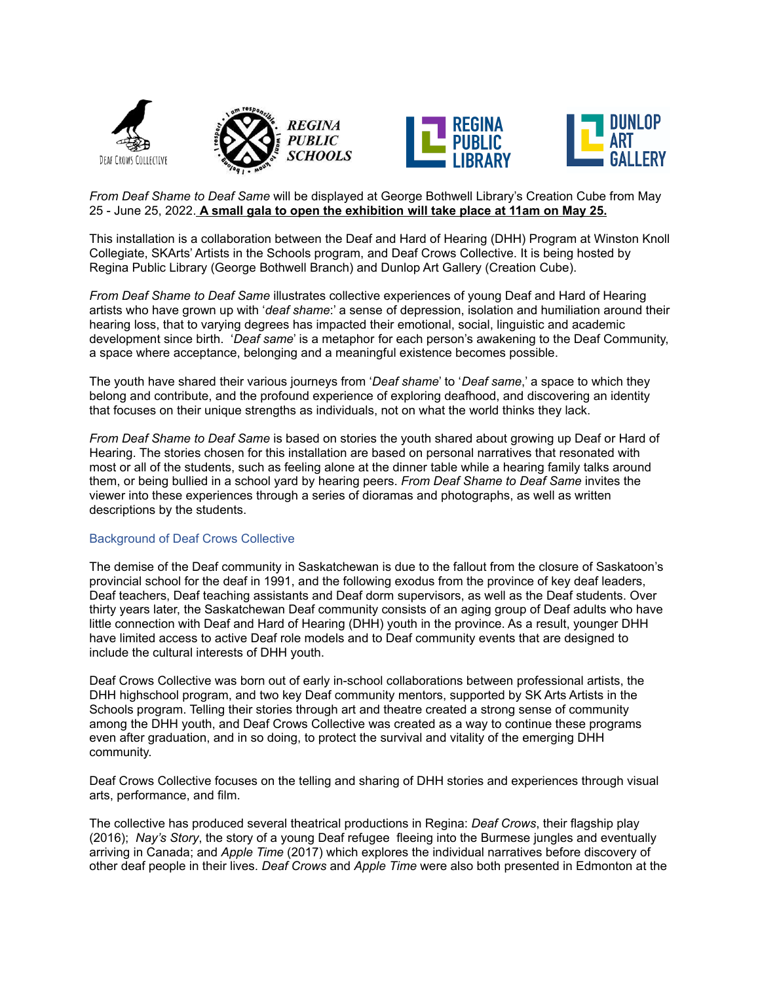





## *From Deaf Shame to Deaf Same* will be displayed at George Bothwell Library's Creation Cube from May 25 - June 25, 2022. **A small gala to open the exhibition will take place at 11am on May 25.**

This installation is a collaboration between the Deaf and Hard of Hearing (DHH) Program at Winston Knoll Collegiate, SKArts' Artists in the Schools program, and Deaf Crows Collective. It is being hosted by Regina Public Library (George Bothwell Branch) and Dunlop Art Gallery (Creation Cube).

*From Deaf Shame to Deaf Same* illustrates collective experiences of young Deaf and Hard of Hearing artists who have grown up with '*deaf shame*:' a sense of depression, isolation and humiliation around their hearing loss, that to varying degrees has impacted their emotional, social, linguistic and academic development since birth. '*Deaf same*' is a metaphor for each person's awakening to the Deaf Community, a space where acceptance, belonging and a meaningful existence becomes possible.

The youth have shared their various journeys from '*Deaf shame*' to '*Deaf same*,' a space to which they belong and contribute, and the profound experience of exploring deafhood, and discovering an identity that focuses on their unique strengths as individuals, not on what the world thinks they lack.

*From Deaf Shame to Deaf Same* is based on stories the youth shared about growing up Deaf or Hard of Hearing. The stories chosen for this installation are based on personal narratives that resonated with most or all of the students, such as feeling alone at the dinner table while a hearing family talks around them, or being bullied in a school yard by hearing peers. *From Deaf Shame to Deaf Same* invites the viewer into these experiences through a series of dioramas and photographs, as well as written descriptions by the students.

## Background of Deaf Crows Collective

The demise of the Deaf community in Saskatchewan is due to the fallout from the closure of Saskatoon's provincial school for the deaf in 1991, and the following exodus from the province of key deaf leaders, Deaf teachers, Deaf teaching assistants and Deaf dorm supervisors, as well as the Deaf students. Over thirty years later, the Saskatchewan Deaf community consists of an aging group of Deaf adults who have little connection with Deaf and Hard of Hearing (DHH) youth in the province. As a result, younger DHH have limited access to active Deaf role models and to Deaf community events that are designed to include the cultural interests of DHH youth.

Deaf Crows Collective was born out of early in-school collaborations between professional artists, the DHH highschool program, and two key Deaf community mentors, supported by SK Arts Artists in the Schools program. Telling their stories through art and theatre created a strong sense of community among the DHH youth, and Deaf Crows Collective was created as a way to continue these programs even after graduation, and in so doing, to protect the survival and vitality of the emerging DHH community.

Deaf Crows Collective focuses on the telling and sharing of DHH stories and experiences through visual arts, performance, and film.

The collective has produced several theatrical productions in Regina: *Deaf Crows*, their flagship play (2016); *Nay's Story*, the story of a young Deaf refugee fleeing into the Burmese jungles and eventually arriving in Canada; and *Apple Time* (2017) which explores the individual narratives before discovery of other deaf people in their lives. *Deaf Crows* and *Apple Time* were also both presented in Edmonton at the